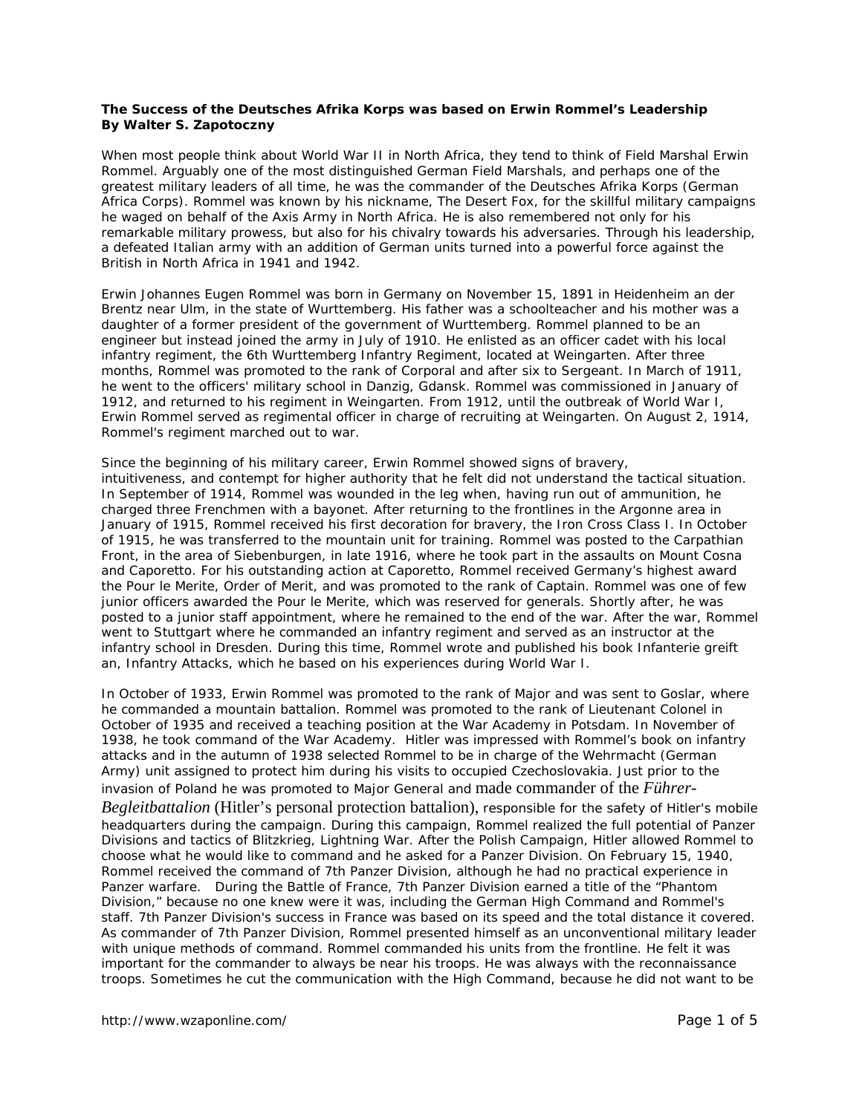## **The Success of the** *Deutsches Afrika Korps* **was based on Erwin Rommel's Leadership By Walter S. Zapotoczny**

When most people think about World War II in North Africa, they tend to think of Field Marshal Erwin Rommel. Arguably one of the most distinguished German Field Marshals, and perhaps one of the greatest military leaders of all time, he was the commander of the *Deutsches Afrika Korps* (German Africa Corps). Rommel was known by his nickname, *The Desert Fox*, for the skillful military campaigns he waged on behalf of the Axis Army in North Africa. He is also remembered not only for his remarkable military prowess, but also for his chivalry towards his adversaries. Through his leadership, a defeated Italian army with an addition of German units turned into a powerful force against the British in North Africa in 1941 and 1942.

Erwin Johannes Eugen Rommel was born in Germany on November 15, 1891 in *Heidenheim an der Brentz* near *Ulm*, in the state of *Wurttemberg*. His father was a schoolteacher and his mother was a daughter of a former president of the government of *Wurttemberg*. Rommel planned to be an engineer but instead joined the army in July of 1910. He enlisted as an officer cadet with his local infantry regiment, the 6th *Wurttemberg* Infantry Regiment, located at *Weingarten*. After three months, Rommel was promoted to the rank of Corporal and after six to Sergeant. In March of 1911, he went to the officers' military school in Danzig, Gdansk. Rommel was commissioned in January of 1912, and returned to his regiment in *Weingarten*. From 1912, until the outbreak of World War I, Erwin Rommel served as regimental officer in charge of recruiting at *Weingarten*. On August 2, 1914, Rommel's regiment marched out to war.

Since the beginning of his military career, Erwin Rommel showed signs of bravery, intuitiveness, and contempt for higher authority that he felt did not understand the tactical situation. In September of 1914, Rommel was wounded in the leg when, having run out of ammunition, he charged three Frenchmen with a bayonet. After returning to the frontlines in the *Argonne* area in January of 1915, Rommel received his first decoration for bravery, the Iron Cross Class I. In October of 1915, he was transferred to the mountain unit for training. Rommel was posted to the Carpathian Front, in the area of *Siebenburgen*, in late 1916, where he took part in the assaults on Mount *Cosna* and *Caporetto*. For his outstanding action at *Caporetto*, Rommel received Germany's highest award the *Pour le Merite*, Order of Merit, and was promoted to the rank of Captain. Rommel was one of few junior officers awarded the *Pour le Merite*, which was reserved for generals. Shortly after, he was posted to a junior staff appointment, where he remained to the end of the war. After the war, Rommel went to Stuttgart where he commanded an infantry regiment and served as an instructor at the infantry school in Dresden. During this time, Rommel wrote and published his book *Infanterie greift an*, Infantry Attacks, which he based on his experiences during World War I.

In October of 1933, Erwin Rommel was promoted to the rank of Major and was sent to *Goslar*, where he commanded a mountain battalion. Rommel was promoted to the rank of Lieutenant Colonel in October of 1935 and received a teaching position at the War Academy in Potsdam. In November of 1938, he took command of the War Academy. Hitler was impressed with Rommel's book on infantry attacks and in the autumn of 1938 selected Rommel to be in charge of the *Wehrmacht* (German Army) unit assigned to protect him during his visits to occupied Czechoslovakia. Just prior to the invasion of Poland he was promoted to Major General and made commander of the *Führer-*

*Begleitbattalion* (Hitler's personal protection battalion), responsible for the safety of Hitler's mobile headquarters during the campaign. During this campaign, Rommel realized the full potential of Panzer Divisions and tactics of *Blitzkrieg*, Lightning War. After the Polish Campaign, Hitler allowed Rommel to choose what he would like to command and he asked for a Panzer Division. On February 15, 1940, Rommel received the command of 7th Panzer Division, although he had no practical experience in Panzer warfare. During the Battle of France, 7th Panzer Division earned a title of the "Phantom Division," because no one knew were it was, including the German High Command and Rommel's staff. 7th Panzer Division's success in France was based on its speed and the total distance it covered. As commander of 7th Panzer Division, Rommel presented himself as an unconventional military leader with unique methods of command. Rommel commanded his units from the frontline. He felt it was important for the commander to always be near his troops. He was always with the reconnaissance troops. Sometimes he cut the communication with the High Command, because he did not want to be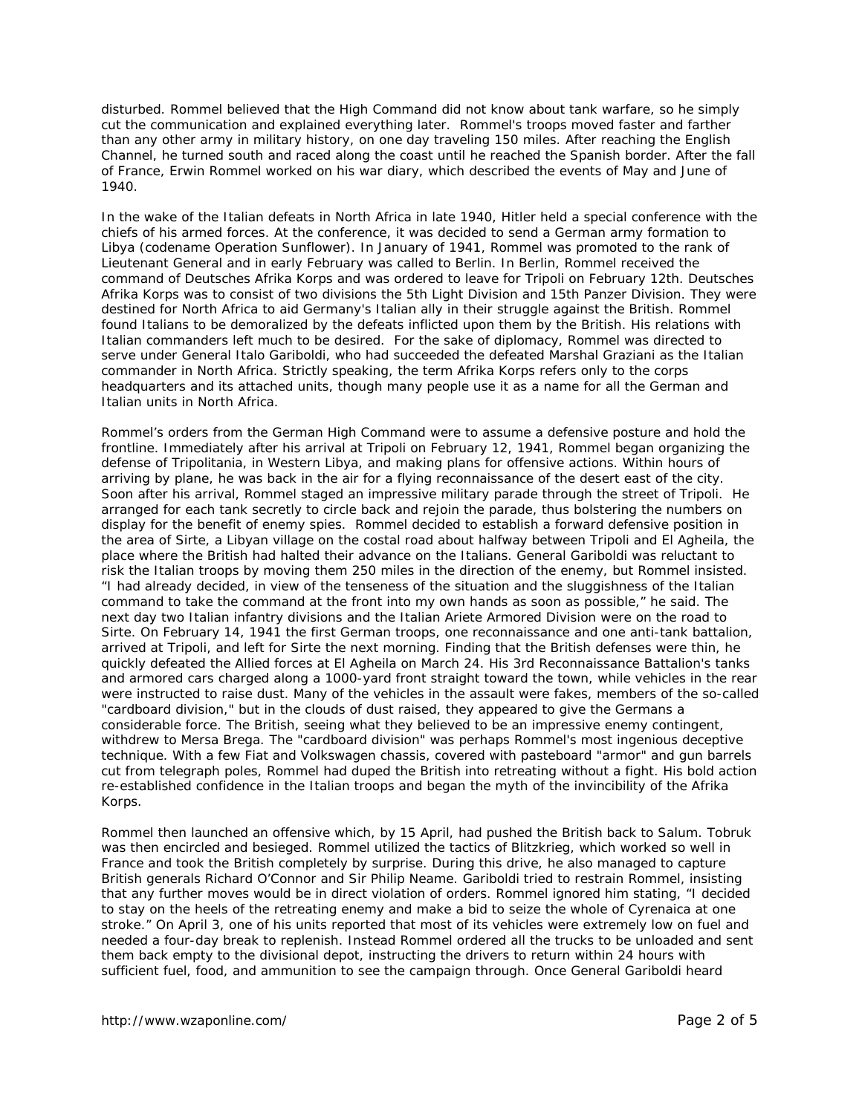disturbed. Rommel believed that the High Command did not know about tank warfare, so he simply cut the communication and explained everything later. Rommel's troops moved faster and farther than any other army in military history, on one day traveling 150 miles. After reaching the English Channel, he turned south and raced along the coast until he reached the Spanish border. After the fall of France, Erwin Rommel worked on his war diary, which described the events of May and June of 1940.

In the wake of the Italian defeats in North Africa in late 1940, Hitler held a special conference with the chiefs of his armed forces. At the conference, it was decided to send a German army formation to Libya (codename Operation Sunflower). In January of 1941, Rommel was promoted to the rank of Lieutenant General and in early February was called to Berlin. In Berlin, Rommel received the command of *Deutsches Afrika Korps* and was ordered to leave for *Tripoli* on February 12th. *Deutsches Afrika Korps* was to consist of two divisions the 5th Light Division and 15th Panzer Division. They were destined for North Africa to aid Germany's Italian ally in their struggle against the British. Rommel found Italians to be demoralized by the defeats inflicted upon them by the British. His relations with Italian commanders left much to be desired. For the sake of diplomacy, Rommel was directed to serve under General Italo Gariboldi, who had succeeded the defeated Marshal Graziani as the Italian commander in North Africa. Strictly speaking, the term *Afrika Korps* refers only to the corps headquarters and its attached units, though many people use it as a name for all the German and Italian units in North Africa.

Rommel's orders from the German High Command were to assume a defensive posture and hold the frontline. Immediately after his arrival at *Tripoli* on February 12, 1941, Rommel began organizing the defense of *Tripolitania*, in Western Libya, and making plans for offensive actions. Within hours of arriving by plane, he was back in the air for a flying reconnaissance of the desert east of the city. Soon after his arrival, Rommel staged an impressive military parade through the street of *Tripoli*. He arranged for each tank secretly to circle back and rejoin the parade, thus bolstering the numbers on display for the benefit of enemy spies. Rommel decided to establish a forward defensive position in the area of *Sirte*, a Libyan village on the costal road about halfway between *Tripoli* and *El Agheila,* the place where the British had halted their advance on the Italians. General Gariboldi was reluctant to risk the Italian troops by moving them 250 miles in the direction of the enemy, but Rommel insisted. "I had already decided, in view of the tenseness of the situation and the sluggishness of the Italian command to take the command at the front into my own hands as soon as possible," he said. The next day two Italian infantry divisions and the Italian *Ariete* Armored Division were on the road to *Sirte*. On February 14, 1941 the first German troops, one reconnaissance and one anti-tank battalion, arrived at *Tripoli*, and left for *Sirte* the next morning. Finding that the British defenses were thin, he quickly defeated the Allied forces at *El Agheila* on March 24. His 3rd Reconnaissance Battalion's tanks and armored cars charged along a 1000-yard front straight toward the town, while vehicles in the rear were instructed to raise dust. Many of the vehicles in the assault were fakes, members of the so-called "cardboard division," but in the clouds of dust raised, they appeared to give the Germans a considerable force. The British, seeing what they believed to be an impressive enemy contingent, withdrew to *Mersa Brega*. The "cardboard division" was perhaps Rommel's most ingenious deceptive technique. With a few Fiat and Volkswagen chassis, covered with pasteboard "armor" and gun barrels cut from telegraph poles, Rommel had duped the British into retreating without a fight. His bold action re-established confidence in the Italian troops and began the myth of the invincibility of the *Afrika Korps*.

Rommel then launched an offensive which, by 15 April, had pushed the British back to *Salum*. *Tobruk* was then encircled and besieged. Rommel utilized the tactics of *Blitzkrieg*, which worked so well in France and took the British completely by surprise. During this drive, he also managed to capture British generals Richard O'Connor and Sir Philip Neame. Gariboldi tried to restrain Rommel, insisting that any further moves would be in direct violation of orders. Rommel ignored him stating, "I decided to stay on the heels of the retreating enemy and make a bid to seize the whole of *Cyrenaica* at one stroke." On April 3, one of his units reported that most of its vehicles were extremely low on fuel and needed a four-day break to replenish. Instead Rommel ordered all the trucks to be unloaded and sent them back empty to the divisional depot, instructing the drivers to return within 24 hours with sufficient fuel, food, and ammunition to see the campaign through. Once General Gariboldi heard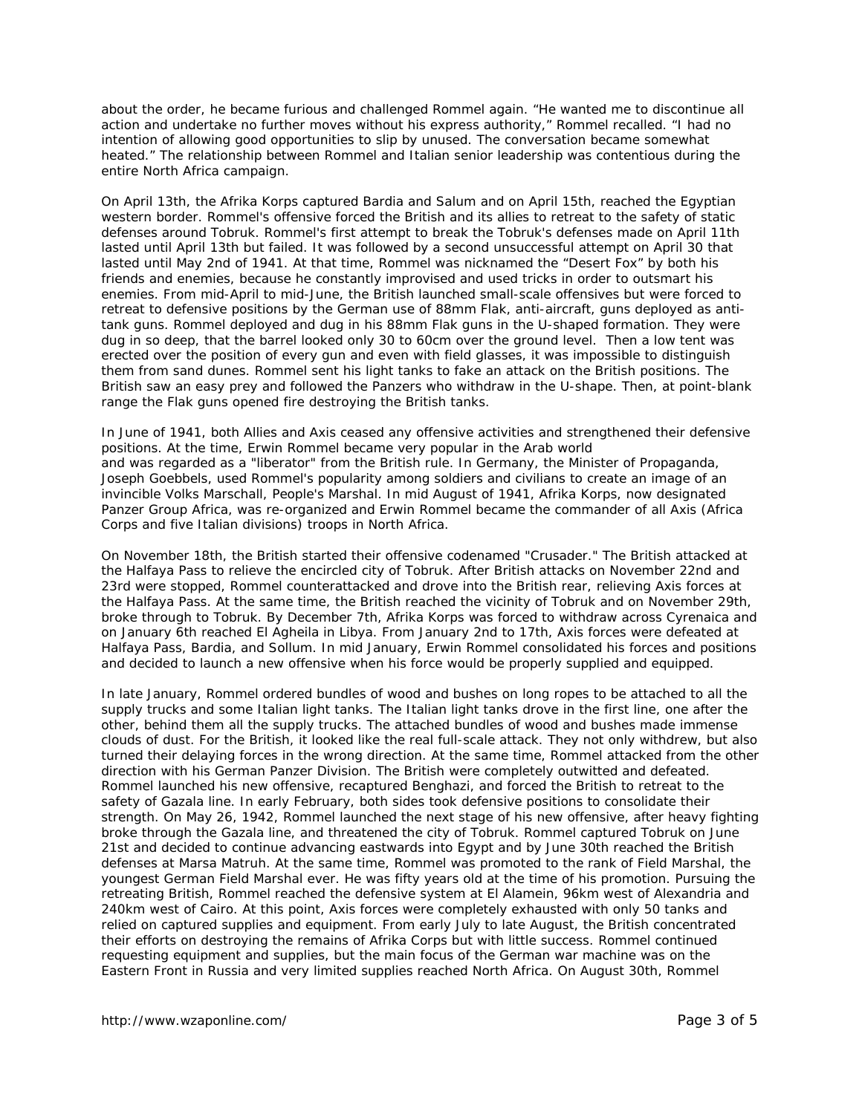about the order, he became furious and challenged Rommel again. "He wanted me to discontinue all action and undertake no further moves without his express authority," Rommel recalled. "I had no intention of allowing good opportunities to slip by unused. The conversation became somewhat heated." The relationship between Rommel and Italian senior leadership was contentious during the entire North Africa campaign.

On April 13th, the *Afrika Korps* captured *Bardia* and *Salum* and on April 15th, reached the Egyptian western border. Rommel's offensive forced the British and its allies to retreat to the safety of static defenses around *Tobruk*. Rommel's first attempt to break the *Tobruk's* defenses made on April 11th lasted until April 13th but failed. It was followed by a second unsuccessful attempt on April 30 that lasted until May 2nd of 1941. At that time, Rommel was nicknamed the "Desert Fox" by both his friends and enemies, because he constantly improvised and used tricks in order to outsmart his enemies. From mid-April to mid-June, the British launched small-scale offensives but were forced to retreat to defensive positions by the German use of 88mm *Flak*, anti-aircraft, guns deployed as antitank guns. Rommel deployed and dug in his 88mm *Flak* guns in the U-shaped formation. They were dug in so deep, that the barrel looked only 30 to 60cm over the ground level. Then a low tent was erected over the position of every gun and even with field glasses, it was impossible to distinguish them from sand dunes. Rommel sent his light tanks to fake an attack on the British positions. The British saw an easy prey and followed the Panzers who withdraw in the U-shape. Then, at point-blank range the *Flak* guns opened fire destroying the British tanks.

In June of 1941, both Allies and Axis ceased any offensive activities and strengthened their defensive positions. At the time, Erwin Rommel became very popular in the Arab world and was regarded as a "liberator" from the British rule. In Germany, the Minister of Propaganda, Joseph Goebbels, used Rommel's popularity among soldiers and civilians to create an image of an invincible *Volks Marschall*, People's Marshal. In mid August of 1941, *Afrika Korps*, now designated Panzer Group Africa, was re-organized and Erwin Rommel became the commander of all Axis (Africa Corps and five Italian divisions) troops in North Africa.

On November 18th, the British started their offensive codenamed "Crusader." The British attacked at the *Halfaya* Pass to relieve the encircled city of *Tobruk*. After British attacks on November 22nd and 23rd were stopped, Rommel counterattacked and drove into the British rear, relieving Axis forces at the *Halfaya* Pass. At the same time, the British reached the vicinity of *Tobruk* and on November 29th, broke through to *Tobruk*. By December 7th, *Afrika Korps* was forced to withdraw across *Cyrenaica* and on January 6th reached *El Agheila* in Libya. From January 2nd to 17th, Axis forces were defeated at *Halfaya* Pass, *Bardia*, and *Sollum*. In mid January, Erwin Rommel consolidated his forces and positions and decided to launch a new offensive when his force would be properly supplied and equipped.

In late January, Rommel ordered bundles of wood and bushes on long ropes to be attached to all the supply trucks and some Italian light tanks. The Italian light tanks drove in the first line, one after the other, behind them all the supply trucks. The attached bundles of wood and bushes made immense clouds of dust. For the British, it looked like the real full-scale attack. They not only withdrew, but also turned their delaying forces in the wrong direction. At the same time, Rommel attacked from the other direction with his German Panzer Division. The British were completely outwitted and defeated. Rommel launched his new offensive, recaptured *Benghazi*, and forced the British to retreat to the safety of *Gazala* line. In early February, both sides took defensive positions to consolidate their strength. On May 26, 1942, Rommel launched the next stage of his new offensive, after heavy fighting broke through the Gazala line, and threatened the city of *Tobruk*. Rommel captured *Tobruk* on June 21st and decided to continue advancing eastwards into Egypt and by June 30th reached the British defenses at *Marsa Matruh*. At the same time, Rommel was promoted to the rank of Field Marshal, the youngest German Field Marshal ever. He was fifty years old at the time of his promotion. Pursuing the retreating British, Rommel reached the defensive system at *El Alamein*, 96km west of Alexandria and 240km west of Cairo. At this point, Axis forces were completely exhausted with only 50 tanks and relied on captured supplies and equipment. From early July to late August, the British concentrated their efforts on destroying the remains of *Afrika Corps* but with little success. Rommel continued requesting equipment and supplies, but the main focus of the German war machine was on the Eastern Front in Russia and very limited supplies reached North Africa. On August 30th, Rommel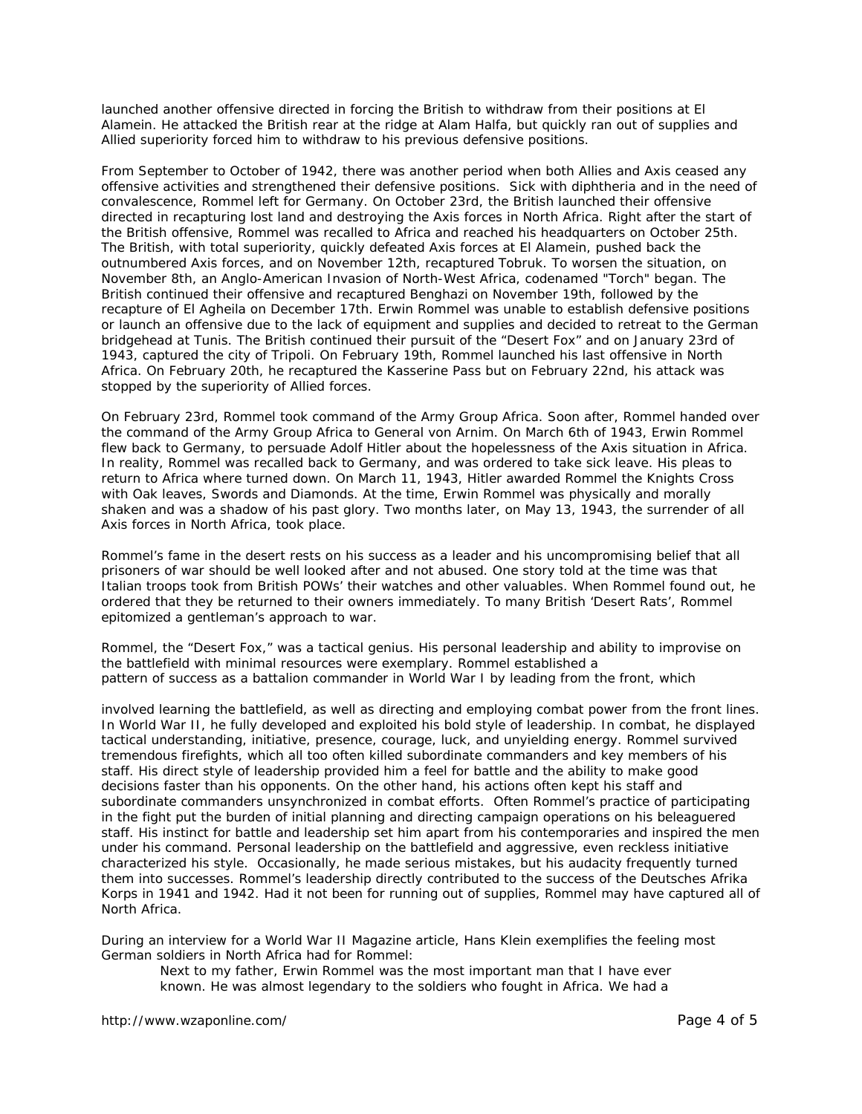launched another offensive directed in forcing the British to withdraw from their positions at *El Alamein*. He attacked the British rear at the ridge at *Alam Halfa*, but quickly ran out of supplies and Allied superiority forced him to withdraw to his previous defensive positions.

From September to October of 1942, there was another period when both Allies and Axis ceased any offensive activities and strengthened their defensive positions. Sick with diphtheria and in the need of convalescence, Rommel left for Germany. On October 23rd, the British launched their offensive directed in recapturing lost land and destroying the Axis forces in North Africa. Right after the start of the British offensive, Rommel was recalled to Africa and reached his headquarters on October 25th. The British, with total superiority, quickly defeated Axis forces at *El Alamein*, pushed back the outnumbered Axis forces, and on November 12th, recaptured *Tobruk*. To worsen the situation, on November 8th, an Anglo-American Invasion of North-West Africa, codenamed "Torch" began. The British continued their offensive and recaptured *Benghazi* on November 19th, followed by the recapture of *El Agheila* on December 17th. Erwin Rommel was unable to establish defensive positions or launch an offensive due to the lack of equipment and supplies and decided to retreat to the German bridgehead at *Tunis*. The British continued their pursuit of the "Desert Fox" and on January 23rd of 1943, captured the city of *Tripoli.* On February 19th, Rommel launched his last offensive in North Africa. On February 20th, he recaptured the Kasserine Pass but on February 22nd, his attack was stopped by the superiority of Allied forces.

On February 23rd, Rommel took command of the Army Group Africa. Soon after, Rommel handed over the command of the Army Group Africa to General von Arnim. On March 6th of 1943, Erwin Rommel flew back to Germany, to persuade Adolf Hitler about the hopelessness of the Axis situation in Africa. In reality, Rommel was recalled back to Germany, and was ordered to take sick leave. His pleas to return to Africa where turned down. On March 11, 1943, Hitler awarded Rommel the Knights Cross with Oak leaves, Swords and Diamonds. At the time, Erwin Rommel was physically and morally shaken and was a shadow of his past glory. Two months later, on May 13, 1943, the surrender of all Axis forces in North Africa, took place.

Rommel's fame in the desert rests on his success as a leader and his uncompromising belief that all prisoners of war should be well looked after and not abused. One story told at the time was that Italian troops took from British POWs' their watches and other valuables. When Rommel found out, he ordered that they be returned to their owners immediately. To many British 'Desert Rats', Rommel epitomized a gentleman's approach to war.

Rommel, the "Desert Fox," was a tactical genius. His personal leadership and ability to improvise on the battlefield with minimal resources were exemplary. Rommel established a pattern of success as a battalion commander in World War I by leading from the front, which

involved learning the battlefield, as well as directing and employing combat power from the front lines. In World War II, he fully developed and exploited his bold style of leadership. In combat, he displayed tactical understanding, initiative, presence, courage, luck, and unyielding energy. Rommel survived tremendous firefights, which all too often killed subordinate commanders and key members of his staff. His direct style of leadership provided him a feel for battle and the ability to make good decisions faster than his opponents. On the other hand, his actions often kept his staff and subordinate commanders unsynchronized in combat efforts. Often Rommel's practice of participating in the fight put the burden of initial planning and directing campaign operations on his beleaguered staff. His instinct for battle and leadership set him apart from his contemporaries and inspired the men under his command. Personal leadership on the battlefield and aggressive, even reckless initiative characterized his style. Occasionally, he made serious mistakes, but his audacity frequently turned them into successes. Rommel's leadership directly contributed to the success of the *Deutsches Afrika Korps* in 1941 and 1942. Had it not been for running out of supplies, Rommel may have captured all of North Africa.

During an interview for a World War II Magazine article, Hans Klein exemplifies the feeling most German soldiers in North Africa had for Rommel:

Next to my father, Erwin Rommel was the most important man that I have ever known. He was almost legendary to the soldiers who fought in Africa. We had a